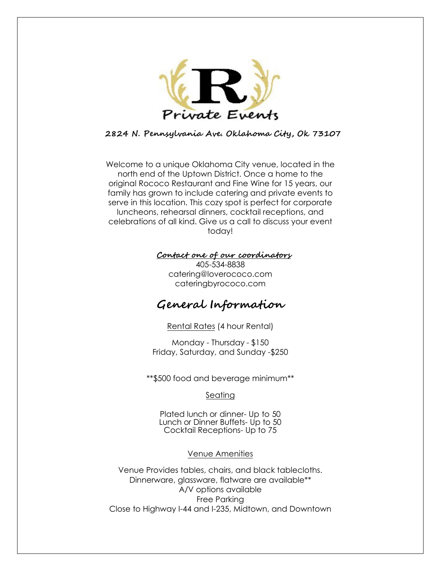

## **2824 N. Pennsylvania Ave. Oklahoma City, Ok 73107**

Welcome to a unique Oklahoma City venue, located in the north end of the Uptown District. Once a home to the original Rococo Restaurant and Fine Wine for 15 years, our family has grown to include catering and private events to serve in this location. This cozy spot is perfect for corporate luncheons, rehearsal dinners, cocktail receptions, and celebrations of all kind. Give us a call to discuss your event today!

### **Contact one of our coordinators**

405-534-8838 catering@[loverococo](mailto:catering@rococo-restaurant.com).com cateringbyrococo.com

# **General Information**

Rental Rates (4 hour Rental)

Monday - Thursday - \$150 Friday, Saturday, and Sunday -\$250

\*\*\$500 food and beverage minimum\*\*

### Seating

Plated lunch or dinner- Up to 50 Lunch or Dinner Buffets- Up to 50 Cocktail Receptions- Up to 75

### Venue Amenities

Venue Provides tables, chairs, and black tablecloths. Dinnerware, glassware, flatware are available\*\* A/V options available Free Parking Close to Highway I-44 and I-235, Midtown, and Downtown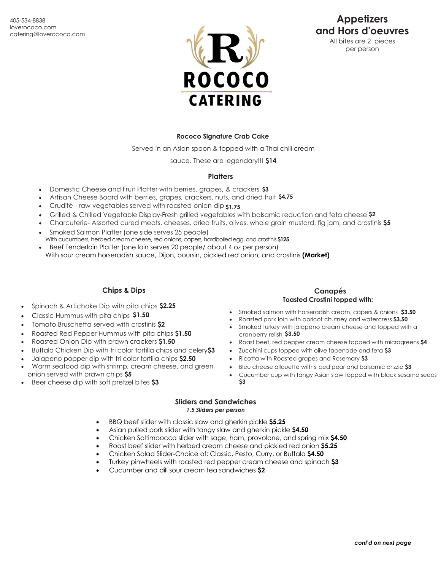

# **Appetizers and Hors d'oeuvres**

All bites are 2 pieces per person

#### **Rococo Signature Crab Cake**

Served in an Asian spoon & topped with a Thai chili cream

sauce. These are legendary!!! **\$14**

#### **Platters**

- Domestic Cheese and Fruit Platter with berries, grapes, & crackers **\$3**
- Artisan Cheese Board with berries, grapes, crackers, nuts, and dried fruit **\$4.75**
- Crudité raw vegetables served with roasted onion dip **\$1.75**
- Grilled & Chilled Vegetable Display-Fresh grilled vegetables with balsamic reduction and feta cheese **\$2**
- Charcuterie- Assorted cured meats, cheeses, dried fruits, olives, whole grain mustard, fig jam, and crostinis **\$5**
- Smoked Salmon Platter (one side serves 25 people)
- With cucumbers, herbed cream cheese, red onions, capers, hardboiled egg, and crostinis \$125 • Beef Tenderloin Platter (one loin serves 20 people/ about 4 oz per person) With sour cream horseradish sauce, Dijon, boursin, pickled red onion, and crostinis **(Market)**

# **Chips & Dips**

- Spinach & Artichoke Dip with pita chips **\$2.25**
- Classic Hummus with pita chips **\$1.50**
- Tomato Bruschetta served with crostinis **\$2**
- Roasted Red Pepper Hummus with pita chips **\$1.50**
- Roasted Onion Dip with prawn crackers **\$1.50**
- Buffalo Chicken Dip with tri color tortilla chips and celery**\$3**
- Jalapeno popper dip with tri color tortilla chips **\$2.50**
- Warm seafood dip with shrimp, cream cheese, and green onion served with prawn chips **\$5**
- Beer cheese dip with soft pretzel bites **\$3**

#### **Canapés Toasted Crostini topped with:**

- Smoked salmon with horseradish cream, capers & onions **\$3.50**
- Roasted pork loin with apricot chutney and watercress **\$3.50**
- Smoked turkey with jalapeno cream cheese and topped with a cranberry relish **\$3.50**
- Roast beef, red pepper cream cheese topped with microgreens **\$4**
- Zucchini cups topped with olive tapenade and feta **\$3**
- Ricotta with Roasted grapes and Rosemary **\$3**
- Bleu cheese allouette with sliced pear and balsamic drizzle **\$3**
- Cucumber cup with tangy Asian slaw topped with black sesame seeds **\$3**

#### **Sliders and Sandwiches** *1.5 Sliders per person*

- BBQ beef slider with classic slaw and gherkin pickle **\$5.25**
- Asian pulled pork slider with tangy slaw and gherkin pickle **\$4.50**
- Chicken Saltimbocca slider with sage, ham, provolone, and spring mix **\$4.50**
- Roast beef slider with herbed cream cheese and pickled red onion **\$5.25**
- Chicken Salad Slider-Choice of: Classic, Pesto, Curry, or Buffalo **\$4.50**
- Turkey pinwheels with roasted red pepper cream cheese and spinach **\$3**
- Cucumber and dill sour cream tea sandwiches **\$2**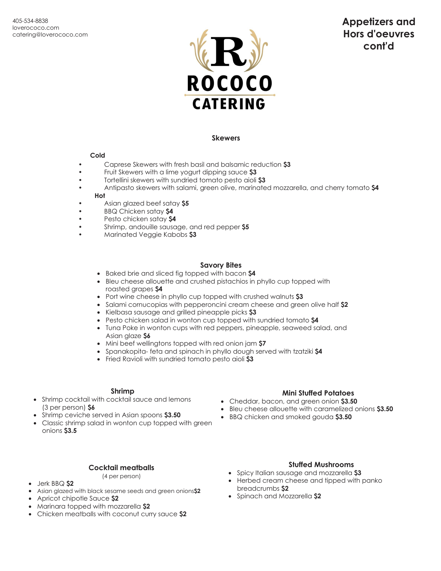

# **Appetizers and Hors d'oeuvres cont'd**

#### **Skewers**

#### **Cold**

- Caprese Skewers with fresh basil and balsamic reduction **\$3**
- Fruit Skewers with a lime yogurt dipping sauce **\$3**
- Tortellini skewers with sundried tomato pesto aioli **\$3**
- Antipasto skewers with salami, green olive, marinated mozzarella, and cherry tomato **\$4 Hot**
- Asian glazed beef satay **\$5**
- BBQ Chicken satay **\$4**
- Pesto chicken satay **\$4**
- Shrimp, andouille sausage, and red pepper **\$5**
- Marinated Veggie Kabobs **\$3**

#### **Savory Bites**

- Baked brie and sliced fig topped with bacon **\$4**
- Bleu cheese allouette and crushed pistachios in phyllo cup topped with roasted grapes **\$4**
- Port wine cheese in phyllo cup topped with crushed walnuts **\$3**
- Salami cornucopias with pepperoncini cream cheese and green olive half **\$2**
- Kielbasa sausage and grilled pineapple picks **\$3**
- Pesto chicken salad in wonton cup topped with sundried tomato **\$4**
- Tuna Poke in wonton cups with red peppers, pineapple, seaweed salad, and Asian glaze **\$6**
- Mini beef wellingtons topped with red onion jam **\$7**
- Spanakopita- feta and spinach in phyllo dough served with tzatziki **\$4**
- Fried Ravioli with sundried tomato pesto aioli **\$3**

#### **Shrimp**

- Shrimp cocktail with cocktail sauce and lemons (3 per person) **\$6**
- Shrimp ceviche served in Asian spoons **\$3.50**
- Classic shrimp salad in wonton cup topped with green onions **\$3.5**

#### **Mini Stuffed Potatoes** • Cheddar, bacon, and green onion **\$3.50**

- Bleu cheese allouette with caramelized onions **\$3.50**
- BBQ chicken and smoked gouda **\$3.50**

#### **Cocktail meatballs**

(4 per person)

#### • Jerk BBQ **\$2**

- Asian glazed with black sesame seeds and green onions**\$2**
- Apricot chipotle Sauce **\$2**
- Marinara topped with mozzarella **\$2**
- Chicken meatballs with coconut curry sauce **\$2**

### **Stuffed Mushrooms**

- Spicy Italian sausage and mozzarella **\$3**
- Herbed cream cheese and tipped with panko breadcrumbs **\$2**
- Spinach and Mozzarella **\$2**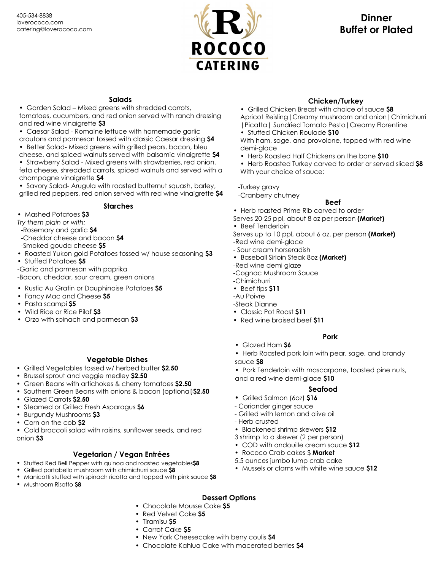

# **Dinner Buffet or Plated**

## **Salads**

• Garden Salad – Mixed greens with shredded carrots, tomatoes, cucumbers, and red onion served with ranch dressing and red wine vinaigrette **\$3**

• Caesar Salad - Romaine lettuce with homemade garlic

croutons and parmesan tossed with classic Caesar dressing **\$4** • Better Salad- Mixed greens with grilled pears, bacon, bleu

cheese, and spiced walnuts served with balsamic vinaigrette **\$4** • Strawberry Salad - Mixed greens with strawberries, red onion, feta cheese, shredded carrots, spiced walnuts and served with a

champagne vinaigrette **\$4**

• Savory Salad- Arugula with roasted butternut squash, barley, grilled red peppers, red onion served with red wine vinaigrette **\$4**

### **Starches**

• Mashed Potatoes **\$3**

*Try them plain or with:*

-Rosemary and garlic **\$4**

- -Cheddar cheese and bacon **\$4**
- -Smoked gouda cheese **\$5**
- Roasted Yukon gold Potatoes tossed w/ house seasoning **\$3**
- Stuffed Potatoes **\$5**
- -Garlic and parmesan with paprika

-Bacon, cheddar, sour cream, green onions

- Rustic Au Gratin or Dauphinoise Potatoes **\$5**
- Fancy Mac and Cheese **\$5**
- Pasta scampi **\$5**
- Wild Rice or Rice Pilaf **\$3**
- Orzo with spinach and parmesan **\$3**

#### **Vegetable Dishes**

- Grilled Vegetables tossed w/ herbed butter **\$2.50**
- Brussel sprout and veggie medley **\$2.50**
- Green Beans with artichokes & cherry tomatoes **\$2.50**
- Southern Green Beans with onions & bacon (optional)**\$2.50** • Glazed Carrots **\$2.50**
- Steamed or Grilled Fresh Asparagus **\$6**
- Burgundy Mushrooms **\$3**
- Corn on the cob **\$2**

• Cold broccoli salad with raisins, sunflower seeds, and red onion **\$3**

### **Vegetarian / Vegan Entrées**

- Stuffed Red Bell Pepper with quinoa and roasted vegetables**\$8**
- Grilled portabello mushroom with chimichurri sauce **\$8**
- Manicotti stuffed with spinach ricotta and topped with pink sauce **\$8**
- Mushroom Risotto **\$8**

### **Chicken/Turkey**

- Grilled Chicken Breast with choice of sauce **\$8** Apricot Reisling|Creamy mushroom and onion|Chimichurri |Picatta| Sundried Tomato Pesto|Creamy Florentine
- Stuffed Chicken Roulade **\$10**

With ham, sage, and provolone, topped with red wine demi-glace

• Herb Roasted Half Chickens on the bone **\$10**

• Herb Roasted Turkey carved to order or served sliced **\$8** With your choice of sauce:

-Turkey gravy

-Cranberry chutney

## **Beef**

• Herb roasted Prime Rib carved to order

Serves 20-25 ppl, about 8 oz per person **(Market)** • Beef Tenderloin

Serves up to 10 ppl, about 6 oz. per person **(Market)**

-Red wine demi-glace

- Sour cream horseradish

• Baseball Sirloin Steak 8oz **(Market)**

-Red wine demi glaze

-Cognac Mushroom Sauce

-Chimichurri

• Beef tips **\$11**

-Au Poivre

- -Steak Dianne
- Classic Pot Roast **\$11**
- Red wine braised beef **\$11**

#### **Pork**

- Glazed Ham **\$6**
- Herb Roasted pork loin with pear, sage, and brandy sauce **\$8**

• Pork Tenderloin with mascarpone, toasted pine nuts, and a red wine demi-glace **\$10**

#### **Seafood**

- **•** Grilled Salmon (6oz) **\$16**
- Coriander ginger sauce
- Grilled with lemon and olive oil
- Herb crusted
- Blackened shrimp skewers **\$12**
- 3 shrimp to a skewer (2 per person)
- COD with andouille cream sauce **\$12**
- Rococo Crab cakes \$ **Market**
- 5.5 ounces jumbo lump crab cake
- Mussels or clams with white wine sauce **\$12**

#### **Dessert Options**

- Chocolate Mousse Cake **\$5**
- Red Velvet Cake **\$5**
- Tiramisu **\$5**
- Carrot Cake **\$5**
- New York Cheesecake with berry coulis **\$4**
- Chocolate Kahlua Cake with macerated berries **\$4**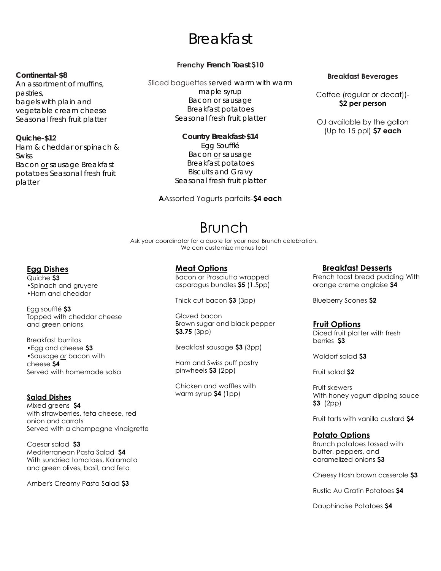# Breakfast

#### **Continental-\$8**

An assortment of muffins, pastries, bagels with plain and vegetable cream cheese Seasonal fresh fruit platter

**Quiche-\$12** Ham & cheddar or spinach &

Swiss Bacon or sausage Breakfast potatoes Seasonal fresh fruit platter

## **Frenchy French Toast \$10**

Sliced baguettes served warm with warm maple syrup Bacon or sausage Breakfast potatoes Seasonal fresh fruit platter

> **Country Breakfast-\$14** Egg Soufflé Bacon or sausage Breakfast potatoes Biscuits and Gravy Seasonal fresh fruit platter

**A**Assorted Yogurts parfaits-**\$4 each** 

### **Breakfast Beverages**

Coffee (regular or decaf))- **\$2 per person** 

OJ available by the gallon (Up to 15 ppl) **\$7 each**

# Brunch

Ask your coordinator for a quote for your next Brunch celebration. We can customize menus too!

## **Egg Dishes**

Quiche **\$3** •Spinach and gruyere •Ham and cheddar

Egg soufflé **\$3** Topped with cheddar cheese and green onions

Breakfast burritos •Egg and cheese **\$3** •Sausage *or* bacon with cheese **\$4** Served with homemade salsa

## **Salad Dishes**

Mixed greens **\$4** with strawberries, feta cheese, red onion and carrots Served with a champagne vinaigrette

Caesar salad **\$3** Mediterranean Pasta Salad **\$4** With sundried tomatoes, Kalamata and green olives, basil, and feta

Amber's Creamy Pasta Salad **\$3**

**Meat Options**

Bacon or Prosciutto wrapped asparagus bundles **\$5** (1.5pp)

Thick cut bacon **\$3** (3pp)

Glazed bacon Brown sugar and black pepper **\$3.75** (3pp)

Breakfast sausage **\$3** (3pp)

Ham and Swiss puff pastry pinwheels **\$3** (2pp)

Chicken and waffles with warm syrup **\$4** (1pp)

### **Breakfast Desserts**

French toast bread pudding With orange creme anglaise **\$4**

Blueberry Scones **\$2**

## **Fruit Options**

Diced fruit platter with fresh berries **\$3**

Waldorf salad **\$3**

Fruit salad **\$2**

Fruit skewers With honey yogurt dipping sauce **\$3** (2pp)

Fruit tarts with vanilla custard **\$4**

## **Potato Options**

Brunch potatoes tossed with butter, peppers, and caramelized onions **\$3**

Cheesy Hash brown casserole **\$3**

Rustic Au Gratin Potatoes **\$4**

Dauphinoise Potatoes **\$4**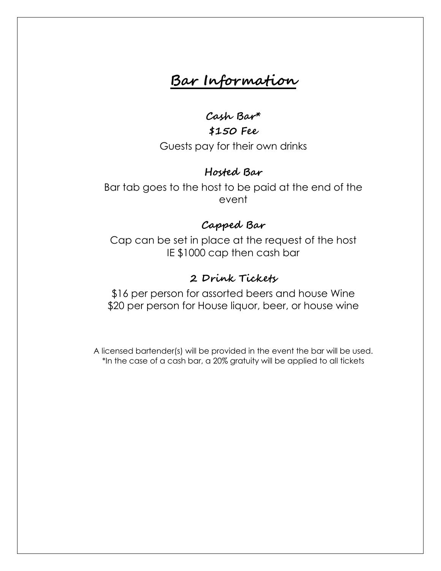# **Bar Information**

**Cash Bar\*** 

**\$150 Fee** Guests pay for their own drinks

# **Hosted Bar**

Bar tab goes to the host to be paid at the end of the event

# **Capped Bar**

Cap can be set in place at the request of the host IE \$1000 cap then cash bar

# **2 Drink Tickets**

\$16 per person for assorted beers and house Wine \$20 per person for House liquor, beer, or house wine

A licensed bartender(s) will be provided in the event the bar will be used. \*In the case of a cash bar, a 20% gratuity will be applied to all tickets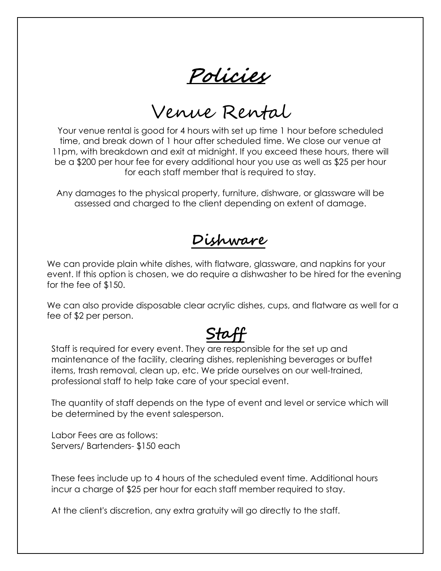Policies

Venue Rental

Your venue rental is good for 4 hours with set up time 1 hour before scheduled time, and break down of 1 hour after scheduled time. We close our venue at 11pm, with breakdown and exit at midnight. If you exceed these hours, there will be a \$200 per hour fee for every additional hour you use as well as \$25 per hour for each staff member that is required to stay.

Any damages to the physical property, furniture, dishware, or glassware will be assessed and charged to the client depending on extent of damage.

**Dishware**

We can provide plain white dishes, with flatware, glassware, and napkins for your event. If this option is chosen, we do require a dishwasher to be hired for the evening for the fee of \$150.

We can also provide disposable clear acrylic dishes, cups, and flatware as well for a fee of \$2 per person.

# **Staff**

Staff is required for every event. They are responsible for the set up and maintenance of the facility, clearing dishes, replenishing beverages or buffet items, trash removal, clean up, etc. We pride ourselves on our well-trained, professional staff to help take care of your special event.

The quantity of staff depends on the type of event and level or service which will be determined by the event salesperson.

Labor Fees are as follows: Servers/ Bartenders- \$150 each

These fees include up to 4 hours of the scheduled event time. Additional hours incur a charge of \$25 per hour for each staff member required to stay.

At the client's discretion, any extra gratuity will go directly to the staff.